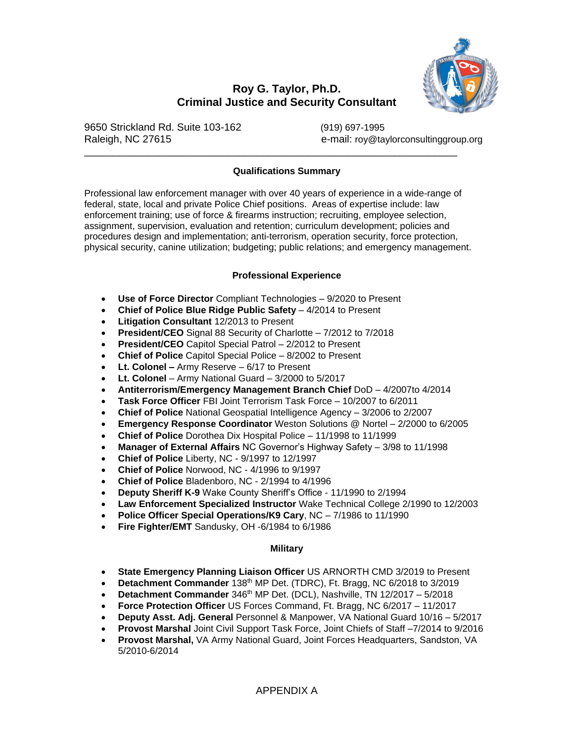

# **Roy G. Taylor, Ph.D. Criminal Justice and Security Consultant**

9650 Strickland Rd. Suite 103-162 (919) 697-1995

Raleigh, NC 27615 e-mail: roy@taylorconsultinggroup.org

### **Qualifications Summary**

\_\_\_\_\_\_\_\_\_\_\_\_\_\_\_\_\_\_\_\_\_\_\_\_\_\_\_\_\_\_\_\_\_\_\_\_\_\_\_\_\_\_\_\_\_\_\_\_\_\_\_\_\_\_\_\_\_\_\_\_\_\_\_\_\_

Professional law enforcement manager with over 40 years of experience in a wide-range of federal, state, local and private Police Chief positions. Areas of expertise include: law enforcement training; use of force & firearms instruction; recruiting, employee selection, assignment, supervision, evaluation and retention; curriculum development; policies and procedures design and implementation; anti-terrorism, operation security, force protection, physical security, canine utilization; budgeting; public relations; and emergency management.

### **Professional Experience**

- **Use of Force Director** Compliant Technologies 9/2020 to Present
- **Chief of Police Blue Ridge Public Safety** 4/2014 to Present
- **Litigation Consultant** 12/2013 to Present
- **President/CEO** Signal 88 Security of Charlotte 7/2012 to 7/2018
- **President/CEO** Capitol Special Patrol 2/2012 to Present
- **Chief of Police** Capitol Special Police 8/2002 to Present
- **Lt. Colonel –** Army Reserve 6/17 to Present
- **Lt. Colonel** Army National Guard 3/2000 to 5/2017
- **Antiterrorism/Emergency Management Branch Chief** DoD 4/2007to 4/2014
- **Task Force Officer** FBI Joint Terrorism Task Force 10/2007 to 6/2011
- **Chief of Police** National Geospatial Intelligence Agency 3/2006 to 2/2007
- **Emergency Response Coordinator** Weston Solutions @ Nortel 2/2000 to 6/2005
- **Chief of Police** Dorothea Dix Hospital Police 11/1998 to 11/1999
- **Manager of External Affairs** NC Governor's Highway Safety 3/98 to 11/1998
- **Chief of Police** Liberty, NC 9/1997 to 12/1997
- **Chief of Police** Norwood, NC 4/1996 to 9/1997
- **Chief of Police** Bladenboro, NC 2/1994 to 4/1996
- **Deputy Sheriff K-9** Wake County Sheriff's Office 11/1990 to 2/1994
- **Law Enforcement Specialized Instructor** Wake Technical College 2/1990 to 12/2003
- **Police Officer Special Operations/K9 Cary**, NC 7/1986 to 11/1990
- **Fire Fighter/EMT** Sandusky, OH -6/1984 to 6/1986

### **Military**

- **State Emergency Planning Liaison Officer** US ARNORTH CMD 3/2019 to Present
- **Detachment Commander** 138<sup>th</sup> MP Det. (TDRC), Ft. Bragg, NC 6/2018 to 3/2019
- **Detachment Commander** 346<sup>th</sup> MP Det. (DCL), Nashville, TN 12/2017 5/2018
- **Force Protection Officer** US Forces Command, Ft. Bragg, NC 6/2017 11/2017
- **Deputy Asst. Adj. General** Personnel & Manpower, VA National Guard 10/16 5/2017
- **Provost Marshal** Joint Civil Support Task Force, Joint Chiefs of Staff –7/2014 to 9/2016
- **Provost Marshal,** VA Army National Guard, Joint Forces Headquarters, Sandston, VA 5/2010-6/2014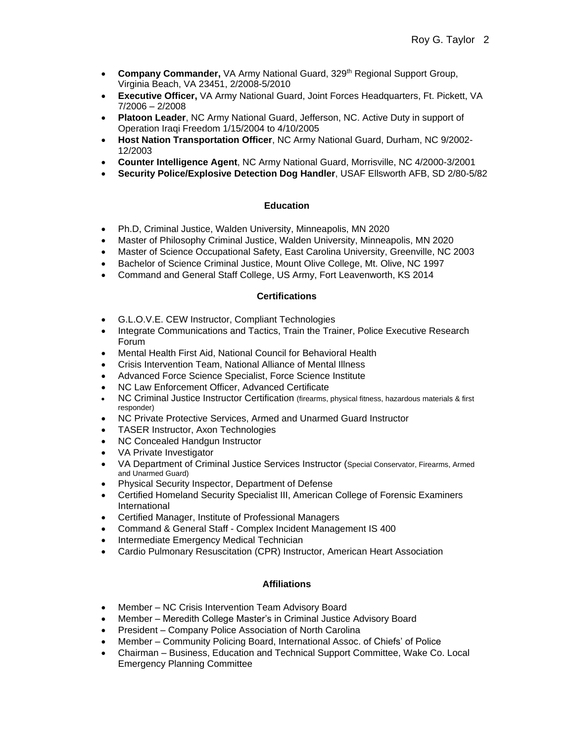- **Company Commander,** VA Army National Guard, 329<sup>th</sup> Regional Support Group, Virginia Beach, VA 23451, 2/2008-5/2010
- **Executive Officer,** VA Army National Guard, Joint Forces Headquarters, Ft. Pickett, VA 7/2006 – 2/2008
- **Platoon Leader**, NC Army National Guard, Jefferson, NC. Active Duty in support of Operation Iraqi Freedom 1/15/2004 to 4/10/2005
- **Host Nation Transportation Officer**, NC Army National Guard, Durham, NC 9/2002- 12/2003
- **Counter Intelligence Agent**, NC Army National Guard, Morrisville, NC 4/2000-3/2001
- **Security Police/Explosive Detection Dog Handler**, USAF Ellsworth AFB, SD 2/80-5/82

# **Education**

- Ph.D, Criminal Justice, Walden University, Minneapolis, MN 2020
- Master of Philosophy Criminal Justice, Walden University, Minneapolis, MN 2020
- Master of Science Occupational Safety, East Carolina University, Greenville, NC 2003
- Bachelor of Science Criminal Justice, Mount Olive College, Mt. Olive, NC 1997
- Command and General Staff College, US Army, Fort Leavenworth, KS 2014

# **Certifications**

- G.L.O.V.E. CEW Instructor, Compliant Technologies
- Integrate Communications and Tactics, Train the Trainer, Police Executive Research Forum
- Mental Health First Aid, National Council for Behavioral Health
- Crisis Intervention Team, National Alliance of Mental Illness
- Advanced Force Science Specialist, Force Science Institute
- NC Law Enforcement Officer, Advanced Certificate
- NC Criminal Justice Instructor Certification (firearms, physical fitness, hazardous materials & first responder)
- NC Private Protective Services, Armed and Unarmed Guard Instructor
- TASER Instructor, Axon Technologies
- NC Concealed Handgun Instructor
- VA Private Investigator
- VA Department of Criminal Justice Services Instructor (Special Conservator, Firearms, Armed and Unarmed Guard)
- Physical Security Inspector, Department of Defense
- Certified Homeland Security Specialist III, American College of Forensic Examiners International
- Certified Manager, Institute of Professional Managers
- Command & General Staff Complex Incident Management IS 400
- Intermediate Emergency Medical Technician
- Cardio Pulmonary Resuscitation (CPR) Instructor, American Heart Association

### **Affiliations**

- Member NC Crisis Intervention Team Advisory Board
- Member Meredith College Master's in Criminal Justice Advisory Board
- President Company Police Association of North Carolina
- Member Community Policing Board, International Assoc. of Chiefs' of Police
- Chairman Business, Education and Technical Support Committee, Wake Co. Local Emergency Planning Committee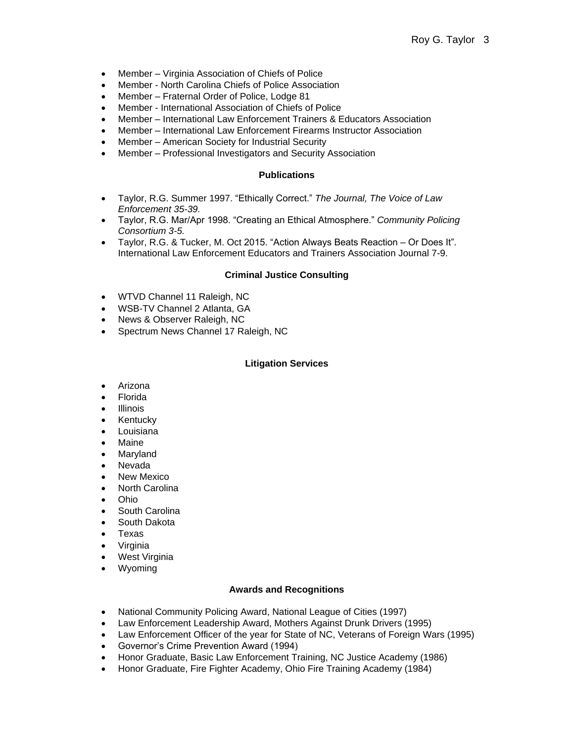- Member Virginia Association of Chiefs of Police
- Member North Carolina Chiefs of Police Association
- Member Fraternal Order of Police, Lodge 81
- Member International Association of Chiefs of Police
- Member International Law Enforcement Trainers & Educators Association
- Member International Law Enforcement Firearms Instructor Association
- Member American Society for Industrial Security
- Member Professional Investigators and Security Association

### **Publications**

- Taylor, R.G. Summer 1997. "Ethically Correct." *The Journal, The Voice of Law Enforcement 35-39.*
- Taylor, R.G. Mar/Apr 1998. "Creating an Ethical Atmosphere." *Community Policing Consortium 3-5.*
- Taylor, R.G. & Tucker, M. Oct 2015. "Action Always Beats Reaction Or Does It". International Law Enforcement Educators and Trainers Association Journal 7-9.

### **Criminal Justice Consulting**

- WTVD Channel 11 Raleigh, NC
- WSB-TV Channel 2 Atlanta, GA
- News & Observer Raleigh, NC
- Spectrum News Channel 17 Raleigh, NC

### **Litigation Services**

- Arizona
- Florida
- Illinois
- Kentucky
- $\bullet$  Louisiana
- Maine
- Maryland
- Nevada
- New Mexico
- North Carolina
- Ohio
- South Carolina
- South Dakota
- Texas
- Virginia
- West Virginia
- Wyoming

### **Awards and Recognitions**

- National Community Policing Award, National League of Cities (1997)
- Law Enforcement Leadership Award, Mothers Against Drunk Drivers (1995)
- Law Enforcement Officer of the year for State of NC, Veterans of Foreign Wars (1995)
- Governor's Crime Prevention Award (1994)
- Honor Graduate, Basic Law Enforcement Training, NC Justice Academy (1986)
- Honor Graduate, Fire Fighter Academy, Ohio Fire Training Academy (1984)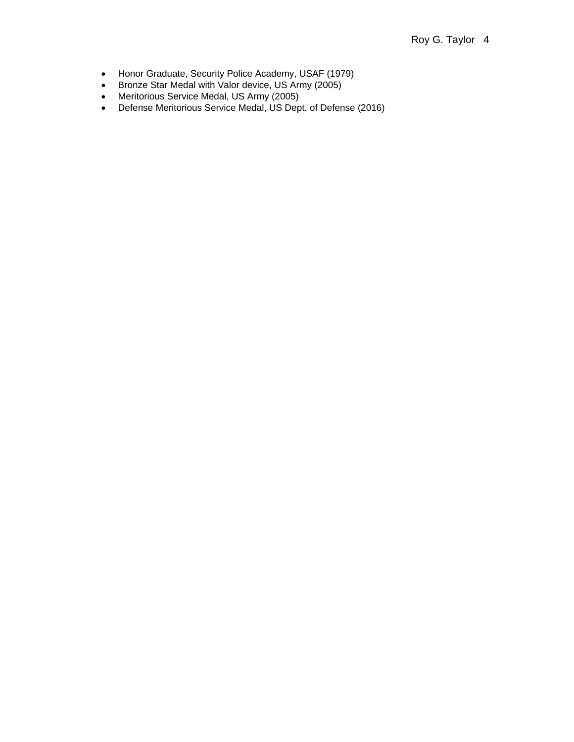- Honor Graduate, Security Police Academy, USAF (1979)
- Bronze Star Medal with Valor device, US Army (2005)
- Meritorious Service Medal, US Army (2005)
- Defense Meritorious Service Medal, US Dept. of Defense (2016)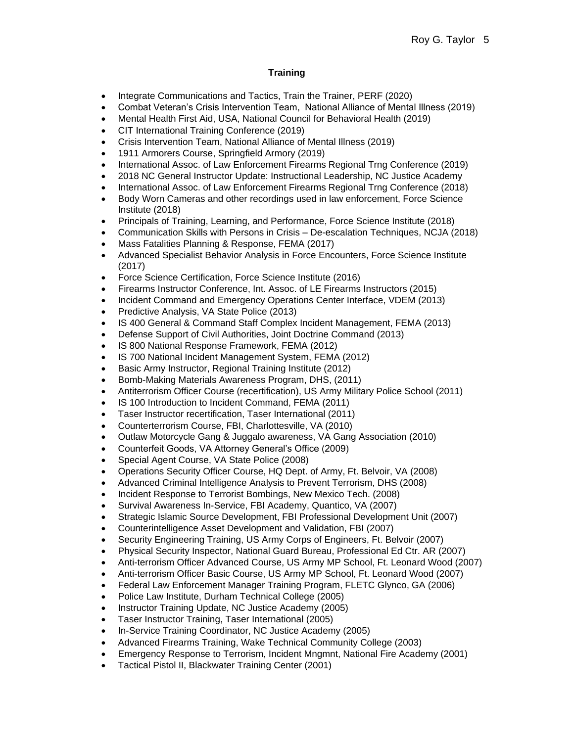# **Training**

- Integrate Communications and Tactics, Train the Trainer, PERF (2020)
- Combat Veteran's Crisis Intervention Team, National Alliance of Mental Illness (2019)
- Mental Health First Aid, USA, National Council for Behavioral Health (2019)
- CIT International Training Conference (2019)
- Crisis Intervention Team, National Alliance of Mental Illness (2019)
- 1911 Armorers Course, Springfield Armory (2019)
- International Assoc. of Law Enforcement Firearms Regional Trng Conference (2019)
- 2018 NC General Instructor Update: Instructional Leadership, NC Justice Academy
- International Assoc. of Law Enforcement Firearms Regional Trng Conference (2018)
- Body Worn Cameras and other recordings used in law enforcement, Force Science Institute (2018)
- Principals of Training, Learning, and Performance, Force Science Institute (2018)
- Communication Skills with Persons in Crisis De-escalation Techniques, NCJA (2018)
- Mass Fatalities Planning & Response, FEMA (2017)
- Advanced Specialist Behavior Analysis in Force Encounters, Force Science Institute (2017)
- Force Science Certification, Force Science Institute (2016)
- Firearms Instructor Conference, Int. Assoc. of LE Firearms Instructors (2015)
- Incident Command and Emergency Operations Center Interface, VDEM (2013)
- Predictive Analysis, VA State Police (2013)
- IS 400 General & Command Staff Complex Incident Management, FEMA (2013)
- Defense Support of Civil Authorities, Joint Doctrine Command (2013)
- IS 800 National Response Framework, FEMA (2012)
- IS 700 National Incident Management System, FEMA (2012)
- Basic Army Instructor, Regional Training Institute (2012)
- Bomb-Making Materials Awareness Program, DHS, (2011)
- Antiterrorism Officer Course (recertification), US Army Military Police School (2011)
- IS 100 Introduction to Incident Command, FEMA (2011)
- Taser Instructor recertification, Taser International (2011)
- Counterterrorism Course, FBI, Charlottesville, VA (2010)
- Outlaw Motorcycle Gang & Juggalo awareness, VA Gang Association (2010)
- Counterfeit Goods, VA Attorney General's Office (2009)
- Special Agent Course, VA State Police (2008)
- Operations Security Officer Course, HQ Dept. of Army, Ft. Belvoir, VA (2008)
- Advanced Criminal Intelligence Analysis to Prevent Terrorism, DHS (2008)
- Incident Response to Terrorist Bombings, New Mexico Tech. (2008)
- Survival Awareness In-Service, FBI Academy, Quantico, VA (2007)
- Strategic Islamic Source Development, FBI Professional Development Unit (2007)
- Counterintelligence Asset Development and Validation, FBI (2007)
- Security Engineering Training, US Army Corps of Engineers, Ft. Belvoir (2007)
- Physical Security Inspector, National Guard Bureau, Professional Ed Ctr. AR (2007)
- Anti-terrorism Officer Advanced Course, US Army MP School, Ft. Leonard Wood (2007)
- Anti-terrorism Officer Basic Course, US Army MP School, Ft. Leonard Wood (2007)
- Federal Law Enforcement Manager Training Program, FLETC Glynco, GA (2006)
- Police Law Institute, Durham Technical College (2005)
- Instructor Training Update, NC Justice Academy (2005)
- Taser Instructor Training, Taser International (2005)
- In-Service Training Coordinator, NC Justice Academy (2005)
- Advanced Firearms Training, Wake Technical Community College (2003)
- Emergency Response to Terrorism, Incident Mngmnt, National Fire Academy (2001)
- Tactical Pistol II, Blackwater Training Center (2001)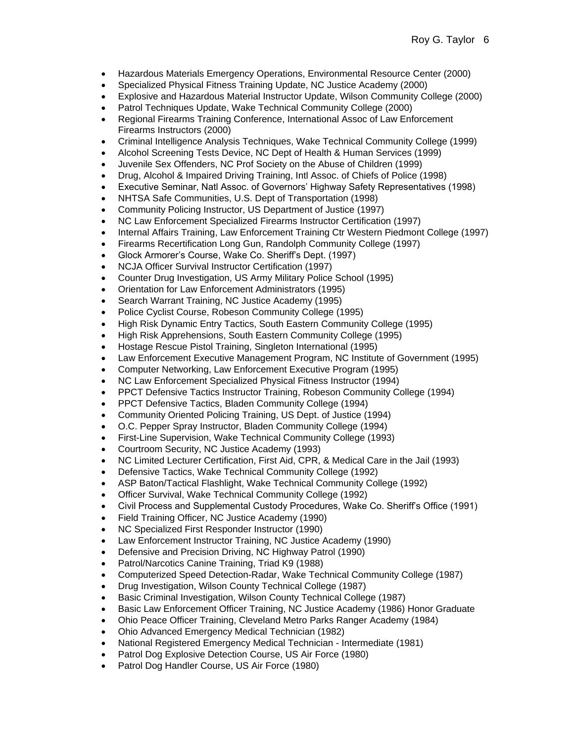- Hazardous Materials Emergency Operations, Environmental Resource Center (2000)
- Specialized Physical Fitness Training Update, NC Justice Academy (2000)
- Explosive and Hazardous Material Instructor Update, Wilson Community College (2000)
- Patrol Techniques Update, Wake Technical Community College (2000)
- Regional Firearms Training Conference, International Assoc of Law Enforcement Firearms Instructors (2000)
- Criminal Intelligence Analysis Techniques, Wake Technical Community College (1999)
- Alcohol Screening Tests Device, NC Dept of Health & Human Services (1999)
- Juvenile Sex Offenders, NC Prof Society on the Abuse of Children (1999)
- Drug, Alcohol & Impaired Driving Training, Intl Assoc. of Chiefs of Police (1998)
- Executive Seminar, Natl Assoc. of Governors' Highway Safety Representatives (1998)
- NHTSA Safe Communities, U.S. Dept of Transportation (1998)
- Community Policing Instructor, US Department of Justice (1997)
- NC Law Enforcement Specialized Firearms Instructor Certification (1997)
- Internal Affairs Training, Law Enforcement Training Ctr Western Piedmont College (1997)
- Firearms Recertification Long Gun, Randolph Community College (1997)
- Glock Armorer's Course, Wake Co. Sheriff's Dept. (1997)
- NCJA Officer Survival Instructor Certification (1997)
- Counter Drug Investigation, US Army Military Police School (1995)
- Orientation for Law Enforcement Administrators (1995)
- Search Warrant Training, NC Justice Academy (1995)
- Police Cyclist Course, Robeson Community College (1995)
- High Risk Dynamic Entry Tactics, South Eastern Community College (1995)
- High Risk Apprehensions, South Eastern Community College (1995)
- Hostage Rescue Pistol Training, Singleton International (1995)
- Law Enforcement Executive Management Program, NC Institute of Government (1995)
- Computer Networking, Law Enforcement Executive Program (1995)
- NC Law Enforcement Specialized Physical Fitness Instructor (1994)
- PPCT Defensive Tactics Instructor Training, Robeson Community College (1994)
- PPCT Defensive Tactics, Bladen Community College (1994)
- Community Oriented Policing Training, US Dept. of Justice (1994)
- O.C. Pepper Spray Instructor, Bladen Community College (1994)
- First-Line Supervision, Wake Technical Community College (1993)
- Courtroom Security, NC Justice Academy (1993)
- NC Limited Lecturer Certification, First Aid, CPR, & Medical Care in the Jail (1993)
- Defensive Tactics, Wake Technical Community College (1992)
- ASP Baton/Tactical Flashlight, Wake Technical Community College (1992)
- Officer Survival, Wake Technical Community College (1992)
- Civil Process and Supplemental Custody Procedures, Wake Co. Sheriff's Office (1991)
- Field Training Officer, NC Justice Academy (1990)
- NC Specialized First Responder Instructor (1990)
- Law Enforcement Instructor Training, NC Justice Academy (1990)
- Defensive and Precision Driving, NC Highway Patrol (1990)
- Patrol/Narcotics Canine Training, Triad K9 (1988)
- Computerized Speed Detection-Radar, Wake Technical Community College (1987)
- Drug Investigation, Wilson County Technical College (1987)
- Basic Criminal Investigation, Wilson County Technical College (1987)
- Basic Law Enforcement Officer Training, NC Justice Academy (1986) Honor Graduate
- Ohio Peace Officer Training, Cleveland Metro Parks Ranger Academy (1984)
- Ohio Advanced Emergency Medical Technician (1982)
- National Registered Emergency Medical Technician Intermediate (1981)
- Patrol Dog Explosive Detection Course, US Air Force (1980)
- Patrol Dog Handler Course, US Air Force (1980)